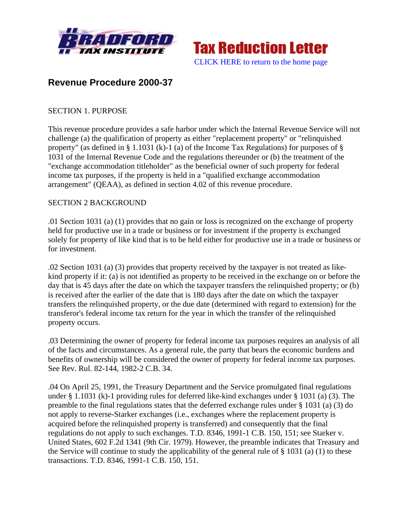



# **Revenue Procedure 2000-37**

### SECTION 1. PURPOSE

This revenue procedure provides a safe harbor under which the Internal Revenue Service will not challenge (a) the qualification of property as either "replacement property" or "relinquished property" (as defined in § 1.1031 (k)-1 (a) of the Income Tax Regulations) for purposes of § 1031 of the Internal Revenue Code and the regulations thereunder or (b) the treatment of the "exchange accommodation titleholder" as the beneficial owner of such property for federal income tax purposes, if the property is held in a "qualified exchange accommodation arrangement" (QEAA), as defined in section 4.02 of this revenue procedure.

#### SECTION 2 BACKGROUND

.01 Section 1031 (a) (1) provides that no gain or loss is recognized on the exchange of property held for productive use in a trade or business or for investment if the property is exchanged solely for property of like kind that is to be held either for productive use in a trade or business or for investment.

.02 Section 1031 (a) (3) provides that property received by the taxpayer is not treated as likekind property if it: (a) is not identified as property to be received in the exchange on or before the day that is 45 days after the date on which the taxpayer transfers the relinquished property; or (b) is received after the earlier of the date that is 180 days after the date on which the taxpayer transfers the relinquished property, or the due date (determined with regard to extension) for the transferor's federal income tax return for the year in which the transfer of the relinquished property occurs.

.03 Determining the owner of property for federal income tax purposes requires an analysis of all of the facts and circumstances. As a general rule, the party that bears the economic burdens and benefits of ownership will be considered the owner of property for federal income tax purposes. See Rev. Rul. 82-144, 1982-2 C.B. 34.

.04 On April 25, 1991, the Treasury Department and the Service promulgated final regulations under § 1.1031 (k)-1 providing rules for deferred like-kind exchanges under § 1031 (a) (3). The preamble to the final regulations states that the deferred exchange rules under § 1031 (a) (3) do not apply to reverse-Starker exchanges (i.e., exchanges where the replacement property is acquired before the relinquished property is transferred) and consequently that the final regulations do not apply to such exchanges. T.D. 8346, 1991-1 C.B. 150, 151; see Starker v. United States, 602 F.2d 1341 (9th Cir. 1979). However, the preamble indicates that Treasury and the Service will continue to study the applicability of the general rule of § 1031 (a) (1) to these transactions. T.D. 8346, 1991-1 C.B. 150, 151.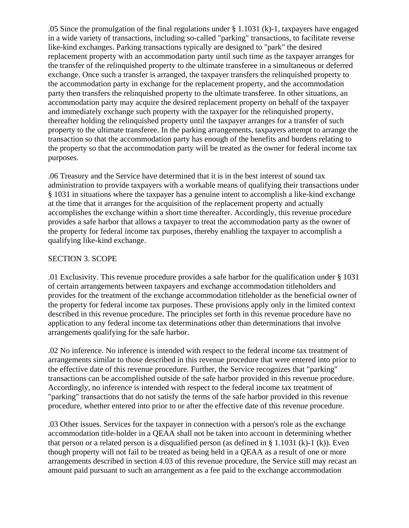.05 Since the promulgation of the final regulations under § 1.1031 (k)-1, taxpayers have engaged in a wide variety of transactions, including so-called "parking" transactions, to facilitate reverse like-kind exchanges. Parking transactions typically are designed to "park" the desired replacement property with an accommodation party until such time as the taxpayer arranges for the transfer of the relinquished property to the ultimate transferee in a simultaneous or deferred exchange. Once such a transfer is arranged, the taxpayer transfers the relinquished property to the accommodation party in exchange for the replacement property, and the accommodation party then transfers the relinquished property to the ultimate transferee. In other situations, an accommodation party may acquire the desired replacement property on behalf of the taxpayer and immediately exchange such property with the taxpayer for the relinquished property, thereafter holding the relinquished property until the taxpayer arranges for a transfer of such property to the ultimate transferee. In the parking arrangements, taxpayers attempt to arrange the transaction so that the accommodation party has enough of the benefits and burdens relating to the property so that the accommodation party will be treated as the owner for federal income tax purposes.

.06 Treasury and the Service have determined that it is in the best interest of sound tax administration to provide taxpayers with a workable means of qualifying their transactions under § 1031 in situations where the taxpayer has a genuine intent to accomplish a like-kind exchange at the time that it arranges for the acquisition of the replacement property and actually accomplishes the exchange within a short time thereafter. Accordingly, this revenue procedure provides a safe harbor that allows a taxpayer to treat the accommodation party as the owner of the property for federal income tax purposes, thereby enabling the taxpayer to accomplish a qualifying like-kind exchange.

#### SECTION 3. SCOPE

.01 Exclusivity. This revenue procedure provides a safe harbor for the qualification under § 1031 of certain arrangements between taxpayers and exchange accommodation titleholders and provides for the treatment of the exchange accommodation titleholder as the beneficial owner of the property for federal income tax purposes. These provisions apply only in the limited context described in this revenue procedure. The principles set forth in this revenue procedure have no application to any federal income tax determinations other than determinations that involve arrangements qualifying for the safe harbor.

.02 No inference. No inference is intended with respect to the federal income tax treatment of arrangements similar to those described in this revenue procedure that were entered into prior to the effective date of this revenue procedure. Further, the Service recognizes that "parking" transactions can be accomplished outside of the safe harbor provided in this revenue procedure. Accordingly, no inference is intended with respect to the federal income tax treatment of "parking" transactions that do not satisfy the terms of the safe harbor provided in this revenue procedure, whether entered into prior to or after the effective date of this revenue procedure.

.03 Other issues. Services for the taxpayer in connection with a person's role as the exchange accommodation title-holder in a QEAA shall not be taken into account in determining whether that person or a related person is a disqualified person (as defined in  $\S 1.1031$  (k)-1 (k)). Even though property will not fail to be treated as being held in a QEAA as a result of one or more arrangements described in section 4.03 of this revenue procedure, the Service still may recast an amount paid pursuant to such an arrangement as a fee paid to the exchange accommodation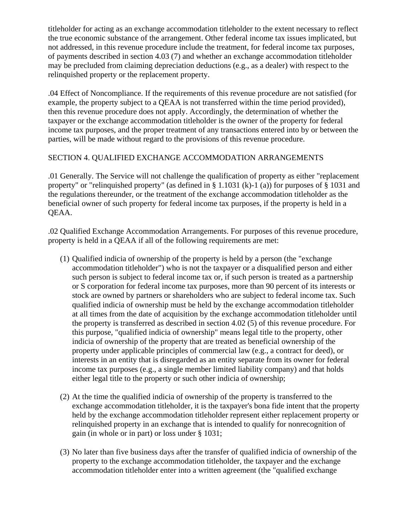titleholder for acting as an exchange accommodation titleholder to the extent necessary to reflect the true economic substance of the arrangement. Other federal income tax issues implicated, but not addressed, in this revenue procedure include the treatment, for federal income tax purposes, of payments described in section 4.03 (7) and whether an exchange accommodation titleholder may be precluded from claiming depreciation deductions (e.g., as a dealer) with respect to the relinquished property or the replacement property.

.04 Effect of Noncompliance. If the requirements of this revenue procedure are not satisfied (for example, the property subject to a QEAA is not transferred within the time period provided), then this revenue procedure does not apply. Accordingly, the determination of whether the taxpayer or the exchange accommodation titleholder is the owner of the property for federal income tax purposes, and the proper treatment of any transactions entered into by or between the parties, will be made without regard to the provisions of this revenue procedure.

# SECTION 4. QUALIFIED EXCHANGE ACCOMMODATION ARRANGEMENTS

.01 Generally. The Service will not challenge the qualification of property as either "replacement property" or "relinquished property" (as defined in § 1.1031 (k)-1 (a)) for purposes of § 1031 and the regulations thereunder, or the treatment of the exchange accommodation titleholder as the beneficial owner of such property for federal income tax purposes, if the property is held in a QEAA.

.02 Qualified Exchange Accommodation Arrangements. For purposes of this revenue procedure, property is held in a QEAA if all of the following requirements are met:

- (1) Qualified indicia of ownership of the property is held by a person (the "exchange accommodation titleholder") who is not the taxpayer or a disqualified person and either such person is subject to federal income tax or, if such person is treated as a partnership or S corporation for federal income tax purposes, more than 90 percent of its interests or stock are owned by partners or shareholders who are subject to federal income tax. Such qualified indicia of ownership must be held by the exchange accommodation titleholder at all times from the date of acquisition by the exchange accommodation titleholder until the property is transferred as described in section 4.02 (5) of this revenue procedure. For this purpose, "qualified indicia of ownership" means legal title to the property, other indicia of ownership of the property that are treated as beneficial ownership of the property under applicable principles of commercial law (e.g., a contract for deed), or interests in an entity that is disregarded as an entity separate from its owner for federal income tax purposes (e.g., a single member limited liability company) and that holds either legal title to the property or such other indicia of ownership;
- (2) At the time the qualified indicia of ownership of the property is transferred to the exchange accommodation titleholder, it is the taxpayer's bona fide intent that the property held by the exchange accommodation titleholder represent either replacement property or relinquished property in an exchange that is intended to qualify for nonrecognition of gain (in whole or in part) or loss under § 1031;
- (3) No later than five business days after the transfer of qualified indicia of ownership of the property to the exchange accommodation titleholder, the taxpayer and the exchange accommodation titleholder enter into a written agreement (the "qualified exchange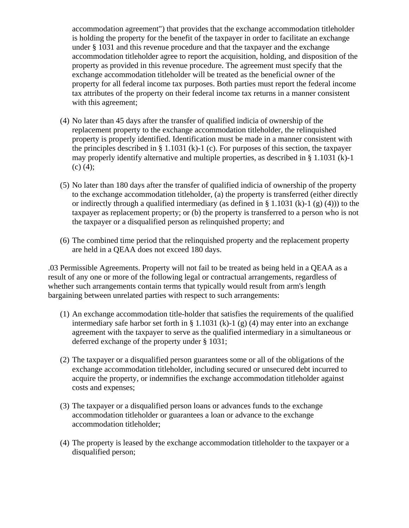accommodation agreement") that provides that the exchange accommodation titleholder is holding the property for the benefit of the taxpayer in order to facilitate an exchange under § 1031 and this revenue procedure and that the taxpayer and the exchange accommodation titleholder agree to report the acquisition, holding, and disposition of the property as provided in this revenue procedure. The agreement must specify that the exchange accommodation titleholder will be treated as the beneficial owner of the property for all federal income tax purposes. Both parties must report the federal income tax attributes of the property on their federal income tax returns in a manner consistent with this agreement;

- (4) No later than 45 days after the transfer of qualified indicia of ownership of the replacement property to the exchange accommodation titleholder, the relinquished property is properly identified. Identification must be made in a manner consistent with the principles described in  $\S 1.1031$  (k)-1 (c). For purposes of this section, the taxpayer may properly identify alternative and multiple properties, as described in § 1.1031 (k)-1 (c) (4);
- (5) No later than 180 days after the transfer of qualified indicia of ownership of the property to the exchange accommodation titleholder, (a) the property is transferred (either directly or indirectly through a qualified intermediary (as defined in § 1.1031 (k)-1 (g) (4))) to the taxpayer as replacement property; or (b) the property is transferred to a person who is not the taxpayer or a disqualified person as relinquished property; and
- (6) The combined time period that the relinquished property and the replacement property are held in a QEAA does not exceed 180 days.

.03 Permissible Agreements. Property will not fail to be treated as being held in a QEAA as a result of any one or more of the following legal or contractual arrangements, regardless of whether such arrangements contain terms that typically would result from arm's length bargaining between unrelated parties with respect to such arrangements:

- (1) An exchange accommodation title-holder that satisfies the requirements of the qualified intermediary safe harbor set forth in § 1.1031 (k)-1 (g) (4) may enter into an exchange agreement with the taxpayer to serve as the qualified intermediary in a simultaneous or deferred exchange of the property under § 1031;
- (2) The taxpayer or a disqualified person guarantees some or all of the obligations of the exchange accommodation titleholder, including secured or unsecured debt incurred to acquire the property, or indemnifies the exchange accommodation titleholder against costs and expenses;
- (3) The taxpayer or a disqualified person loans or advances funds to the exchange accommodation titleholder or guarantees a loan or advance to the exchange accommodation titleholder;
- (4) The property is leased by the exchange accommodation titleholder to the taxpayer or a disqualified person;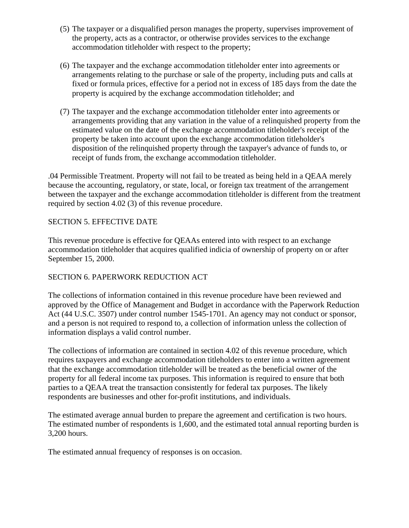- (5) The taxpayer or a disqualified person manages the property, supervises improvement of the property, acts as a contractor, or otherwise provides services to the exchange accommodation titleholder with respect to the property;
- (6) The taxpayer and the exchange accommodation titleholder enter into agreements or arrangements relating to the purchase or sale of the property, including puts and calls at fixed or formula prices, effective for a period not in excess of 185 days from the date the property is acquired by the exchange accommodation titleholder; and
- (7) The taxpayer and the exchange accommodation titleholder enter into agreements or arrangements providing that any variation in the value of a relinquished property from the estimated value on the date of the exchange accommodation titleholder's receipt of the property be taken into account upon the exchange accommodation titleholder's disposition of the relinquished property through the taxpayer's advance of funds to, or receipt of funds from, the exchange accommodation titleholder.

.04 Permissible Treatment. Property will not fail to be treated as being held in a QEAA merely because the accounting, regulatory, or state, local, or foreign tax treatment of the arrangement between the taxpayer and the exchange accommodation titleholder is different from the treatment required by section 4.02 (3) of this revenue procedure.

# SECTION 5. EFFECTIVE DATE

This revenue procedure is effective for QEAAs entered into with respect to an exchange accommodation titleholder that acquires qualified indicia of ownership of property on or after September 15, 2000.

# SECTION 6. PAPERWORK REDUCTION ACT

The collections of information contained in this revenue procedure have been reviewed and approved by the Office of Management and Budget in accordance with the Paperwork Reduction Act (44 U.S.C. 3507) under control number 1545-1701. An agency may not conduct or sponsor, and a person is not required to respond to, a collection of information unless the collection of information displays a valid control number.

The collections of information are contained in section 4.02 of this revenue procedure, which requires taxpayers and exchange accommodation titleholders to enter into a written agreement that the exchange accommodation titleholder will be treated as the beneficial owner of the property for all federal income tax purposes. This information is required to ensure that both parties to a QEAA treat the transaction consistently for federal tax purposes. The likely respondents are businesses and other for-profit institutions, and individuals.

The estimated average annual burden to prepare the agreement and certification is two hours. The estimated number of respondents is 1,600, and the estimated total annual reporting burden is 3,200 hours.

The estimated annual frequency of responses is on occasion.